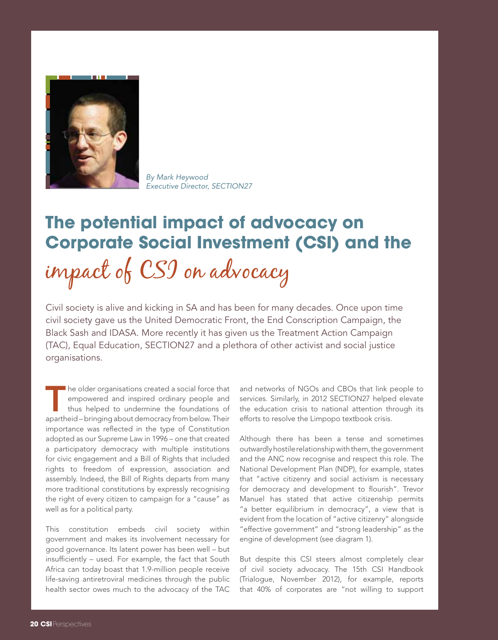

*By Mark Heywood Executive Director, SECTION27*

## **The potential impact of advocacy on Corporate Social Investment (CSI) and the** impact of CSI on advocacy

Civil society is alive and kicking in SA and has been for many decades. Once upon time civil society gave us the United Democratic Front, the End Conscription Campaign, the Black Sash and IDASA. More recently it has given us the Treatment Action Campaign (TAC), Equal Education, SECTION27 and a plethora of other activist and social justice organisations.

The older organisations created a social force that<br>empowered and inspired ordinary people and<br>thus helped to undermine the foundations of<br>anorthoid bringing about democracy from bolow Their empowered and inspired ordinary people and thus helped to undermine the foundations of apartheid – bringing about democracy from below. Their importance was reflected in the type of Constitution adopted as our Supreme Law in 1996 – one that created a participatory democracy with multiple institutions for civic engagement and a Bill of Rights that included rights to freedom of expression, association and assembly. Indeed, the Bill of Rights departs from many more traditional constitutions by expressly recognising the right of every citizen to campaign for a "cause" as well as for a political party.

This constitution embeds civil society within government and makes its involvement necessary for good governance. Its latent power has been well – but insufficiently – used. For example, the fact that South Africa can today boast that 1.9-million people receive life-saving antiretroviral medicines through the public health sector owes much to the advocacy of the TAC and networks of NGOs and CBOs that link people to services. Similarly, in 2012 SECTION27 helped elevate the education crisis to national attention through its efforts to resolve the Limpopo textbook crisis.

Although there has been a tense and sometimes outwardly hostile relationship with them, the government and the ANC now recognise and respect this role. The National Development Plan (NDP), for example, states that "active citizenry and social activism is necessary for democracy and development to flourish". Trevor Manuel has stated that active citizenship permits "a better equilibrium in democracy", a view that is evident from the location of "active citizenry" alongside "effective government" and "strong leadership" as the engine of development (see diagram 1).

But despite this CSI steers almost completely clear of civil society advocacy. The 15th CSI Handbook (Trialogue, November 2012), for example, reports that 40% of corporates are "not willing to support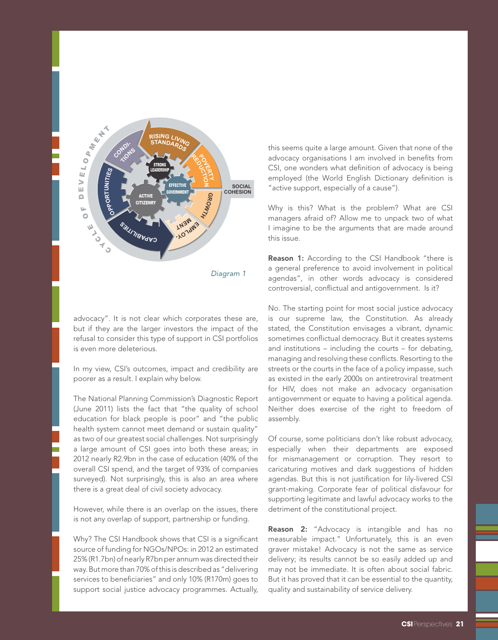

advocacy". It is not clear which corporates these are, but if they are the larger investors the impact of the refusal to consider this type of support in CSI portfolios is even more deleterious.

In my view, CSI's outcomes, impact and credibility are poorer as a result. I explain why below.

The National Planning Commission's Diagnostic Report (June 2011) lists the fact that "the quality of school education for black people is poor" and "the public health system cannot meet demand or sustain quality" as two of our greatest social challenges. Not surprisingly a large amount of CSI goes into both these areas; in 2012 nearly R2.9bn in the case of education (40% of the overall CSI spend, and the target of 93% of companies surveyed). Not surprisingly, this is also an area where there is a great deal of civil society advocacy.

However, while there is an overlap on the issues, there is not any overlap of support, partnership or funding.

Why? The CSI Handbook shows that CSI is a significant source of funding for NGOs/NPOs: in 2012 an estimated 25% (R1.7bn) of nearly R7bn per annum was directed their way. But more than 70% of this is described as "delivering services to beneficiaries" and only 10% (R170m) goes to support social justice advocacy programmes. Actually,

this seems quite a large amount. Given that none of the advocacy organisations I am involved in benefits from CSI, one wonders what definition of advocacy is being employed (the World English Dictionary definition is "active support, especially of a cause").

Why is this? What is the problem? What are CSI managers afraid of? Allow me to unpack two of what I imagine to be the arguments that are made around this issue.

Reason 1: According to the CSI Handbook "there is a general preference to avoid involvement in political agendas", in other words advocacy is considered controversial, conflictual and antigovernment. Is it?

No. The starting point for most social justice advocacy is our supreme law, the Constitution. As already stated, the Constitution envisages a vibrant, dynamic sometimes conflictual democracy. But it creates systems and institutions – including the courts – for debating, managing and resolving these conflicts. Resorting to the streets or the courts in the face of a policy impasse, such as existed in the early 2000s on antiretroviral treatment for HIV, does not make an advocacy organisation antigovernment or equate to having a political agenda. Neither does exercise of the right to freedom of assembly.

Of course, some politicians don't like robust advocacy, especially when their departments are exposed for mismanagement or corruption. They resort to caricaturing motives and dark suggestions of hidden agendas. But this is not justification for lily-livered CSI grant-making. Corporate fear of political disfavour for supporting legitimate and lawful advocacy works to the detriment of the constitutional project.

Reason 2: "Advocacy is intangible and has no measurable impact." Unfortunately, this is an even graver mistake! Advocacy is not the same as service delivery; its results cannot be so easily added up and may not be immediate. It is often about social fabric. But it has proved that it can be essential to the quantity, quality and sustainability of service delivery.